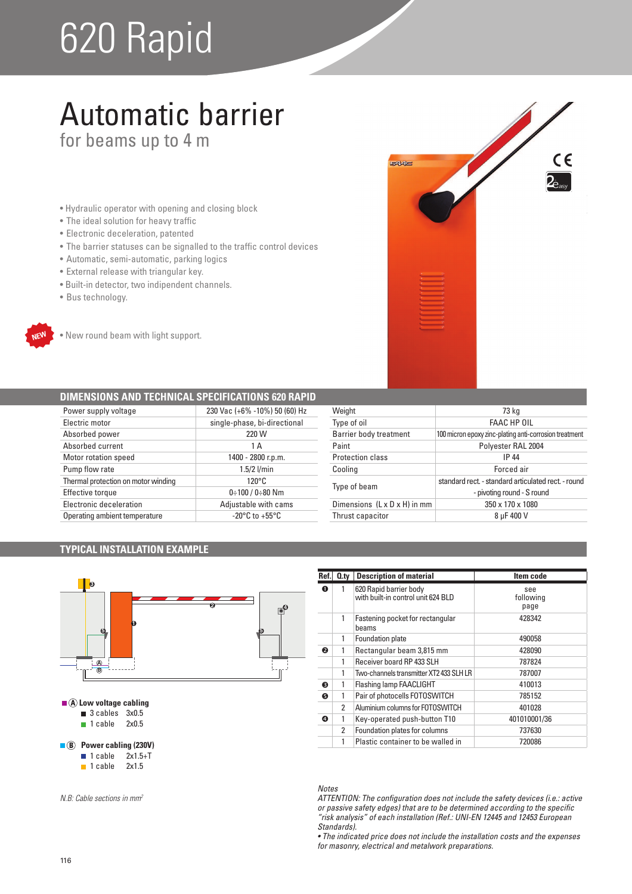# 620 Rapid

## Automatic barrier for beams up to 4 m

- Hydraulic operator with opening and closing block
- The ideal solution for heavy traffic
- Electronic deceleration, patented
- The barrier statuses can be signalled to the traffic control devices
- Automatic, semi-automatic, parking logics
- External release with triangular key.
- · Built-in detector, two indipendent channels.
- Bus technology.



• New round beam with light support.

### **DIMENSIONS AND TECHNICAL SPECIFICATIONS 620 RAPID**

| Power supply voltage                | 230 Vac (+6% -10%) 50 (60) Hz      |
|-------------------------------------|------------------------------------|
| Electric motor                      | single-phase, bi-directional       |
| Absorbed power                      | 220 W                              |
| Absorbed current                    | 1 A                                |
| Motor rotation speed                | 1400 - 2800 r.p.m.                 |
| Pump flow rate                      | $1.5/2$ l/min                      |
| Thermal protection on motor winding | $120^{\circ}$ C                    |
| <b>Effective torque</b>             | $0:100/0:80$ Nm                    |
| Electronic deceleration             | Adjustable with cams               |
| Operating ambient temperature       | $-20^{\circ}$ C to $+55^{\circ}$ C |

| Weight                                   | 73 kg                                                  |
|------------------------------------------|--------------------------------------------------------|
| Type of oil                              | <b>FAAC HP OIL</b>                                     |
| <b>Barrier body treatment</b>            | 100 micron epoxy zinc-plating anti-corrosion treatment |
| Paint                                    | Polyester RAL 2004                                     |
| Protection class                         | IP 44                                                  |
| Cooling                                  | Forced air                                             |
| Type of beam                             | standard rect. - standard articulated rect. - round    |
|                                          | - pivoting round - S round                             |
| Dimensions $(L \times D \times H)$ in mm | 350 x 170 x 1080                                       |
| Thrust capacitor                         | 8 µF 400 V                                             |

EAAC

 $\epsilon$ 

### **TYPICAL INSTALLATION EXAMPLE**



| Ref. | $Q_{\text{.}ty}$ | <b>Description of material</b>                               | Item code                |  |
|------|------------------|--------------------------------------------------------------|--------------------------|--|
| O    |                  | 620 Rapid barrier body<br>with built-in control unit 624 BLD | see<br>following<br>page |  |
|      | 1                | Fastening pocket for rectangular<br>beams                    | 428342                   |  |
|      | 1                | Foundation plate                                             | 490058                   |  |
| ❷    | 1                | Rectangular beam 3,815 mm                                    | 428090                   |  |
|      |                  | Receiver board RP 433 SLH<br>787824                          |                          |  |
|      |                  | Two-channels transmitter XT2 433 SLH LR                      | 787007                   |  |
| ❸    |                  | 410013<br>Flashing lamp FAACLIGHT                            |                          |  |
| 6    |                  | Pair of photocells FOTOSWITCH                                | 785152                   |  |
|      | 2                | Aluminium columns for FOTOSWITCH<br>401028                   |                          |  |
| ❹    |                  | 401010001/36<br>Key-operated push-button T10                 |                          |  |
|      | 2                | Foundation plates for columns<br>737630                      |                          |  |
|      |                  | Plastic container to be walled in<br>720086                  |                          |  |

### *Notes*

*ATTENTION: The configuration does not include the safety devices (i.e.: active or passive safety edges) that are to be determined according to the specific "risk analysis" of each installation (Ref.: UNI-EN 12445 and 12453 European Standards).*

• The indicated price does not include the installation costs and the expenses *for masonry, electrical and metalwork preparations.*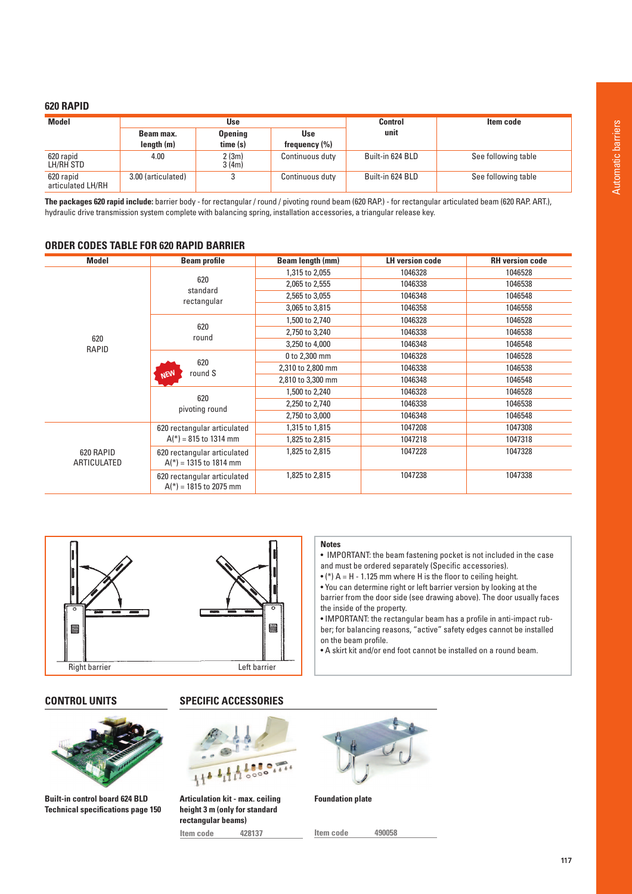### **620 RAPID**

| <b>Model</b>                   |                    | Use            |                   | Control          | Item code           |
|--------------------------------|--------------------|----------------|-------------------|------------------|---------------------|
|                                | Beam max.          | <b>Opening</b> | <b>Use</b>        | unit             |                     |
|                                | length (m)         | time(s)        | frequency $(\% )$ |                  |                     |
| 620 rapid<br>LH/RH STD         | 4.00               | 2(3m)<br>3(4m) | Continuous duty   | Built-in 624 BLD | See following table |
| 620 rapid<br>articulated LH/RH | 3.00 (articulated) |                | Continuous duty   | Built-in 624 BLD | See following table |

The packages 620 rapid include: barrier body - for rectangular / round / pivoting round beam (620 RAP.) - for rectangular articulated beam (620 RAP. ART.), hydraulic drive transmission system complete with balancing spring, installation accessories, a triangular release key.

### **ORDER CODES TABLE FOR 620 RAPID BARRIER**

| <b>Model</b>             | <b>Beam profile</b>                                     | Beam length (mm)  | <b>LH version code</b> | <b>RH</b> version code |
|--------------------------|---------------------------------------------------------|-------------------|------------------------|------------------------|
|                          | 620<br>standard<br>rectangular                          | 1,315 to 2,055    | 1046328                | 1046528                |
|                          |                                                         | 2,065 to 2,555    | 1046338                | 1046538                |
|                          |                                                         | 2,565 to 3,055    | 1046348                | 1046548                |
|                          |                                                         | 3,065 to 3,815    | 1046358                | 1046558                |
|                          |                                                         | 1,500 to 2,740    | 1046328                | 1046528                |
|                          | 620<br>round                                            | 2,750 to 3,240    | 1046338                | 1046538                |
| 620<br>RAPID             |                                                         | 3,250 to 4,000    | 1046348                | 1046548                |
|                          | 620<br>round S                                          | 0 to 2,300 mm     | 1046328                | 1046528                |
|                          |                                                         | 2,310 to 2,800 mm | 1046338                | 1046538                |
| <b>NEW</b>               |                                                         | 2,810 to 3,300 mm | 1046348                | 1046548                |
|                          | 620<br>pivoting round                                   | 1,500 to 2,240    | 1046328                | 1046528                |
|                          |                                                         | 2,250 to 2,740    | 1046338                | 1046538                |
|                          |                                                         | 2,750 to 3,000    | 1046348                | 1046548                |
|                          | 620 rectangular articulated                             | 1,315 to 1,815    | 1047208                | 1047308                |
|                          | $A(*)$ = 815 to 1314 mm                                 | 1,825 to 2,815    | 1047218                | 1047318                |
| 620 RAPID<br>ARTICULATED | 620 rectangular articulated<br>$A(*)$ = 1315 to 1814 mm | 1,825 to 2,815    | 1047228                | 1047328                |
|                          | 620 rectangular articulated<br>$A(*)$ = 1815 to 2075 mm | 1,825 to 2,815    | 1047238                | 1047338                |

**Notes**





**Built-in control board 624 BLD Technical specifications page 150**

### **CONTROL UNITS SPECIFIC ACCESSORIES**



**Articulation kit - max. ceiling height 3 m (only for standard rectangular beams) Item code 428137**



the inside of the property.

on the beam profile.

• IMPORTANT: the beam fastening pocket is not included in the case

. IMPORTANT: the rectangular beam has a profile in anti-impact rubber; for balancing reasons, "active" safety edges cannot be installed

• A skirt kit and/or end foot cannot be installed on a round beam.

and must be ordered separately (Specific accessories).  $\bullet$  (\*) A = H - 1.125 mm where H is the floor to ceiling height. . You can determine right or left barrier version by looking at the barrier from the door side (see drawing above). The door usually faces

**Foundation plate**

**Item code 490058**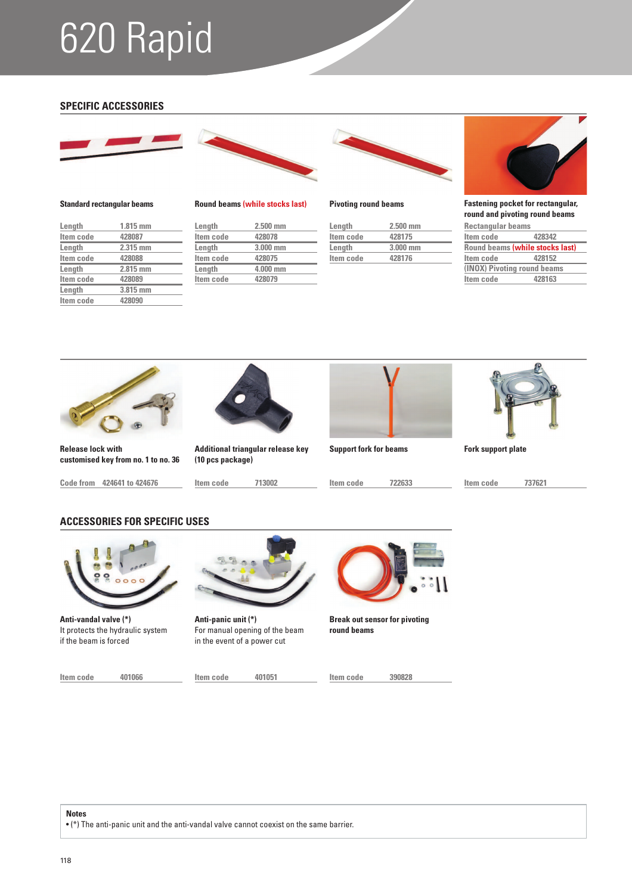# 620 Rapid

### **SPECIFIC ACCESSORIES**





### **Standard rectangular beams**

| Length    | $1.815$ mm |
|-----------|------------|
| Item code | 428087     |
| Length    | 2.315 mm   |
| Item code | 428088     |
| Length    | 2.815 mm   |
| Item code | 428089     |
| Length    | 3.815 mm   |
| Item code | 428090     |
|           |            |



### **Length 2.500 mm**

| Item code | 428078   |  |
|-----------|----------|--|
| Length    | 3.000 mm |  |
| Item code | 428075   |  |
| Length    | 4.000 mm |  |
| Item code | 428079   |  |
|           |          |  |



**Round beams (while stocks last) Pivoting round beams**

| Length    | $2.500$ mm |  |
|-----------|------------|--|
| Item code | 428175     |  |
| Length    | $3.000$ mm |  |
| Item code | 428176     |  |



**Fastening pocket for rectangular, round and pivoting round beams**

| <b>Rectangular beams</b>    |                                 |  |
|-----------------------------|---------------------------------|--|
| Item code                   | 428342                          |  |
|                             | Round beams (while stocks last) |  |
| Item code                   | 428152                          |  |
| (INOX) Pivoting round beams |                                 |  |
| Item code                   | 428163                          |  |
|                             |                                 |  |



**Release lock with customised key from no. 1 to no. 36**

**Code from 424641 to 424676**



**Additional triangular release key** 

**(10 pcs package)**



**Support fork for beams Fork support plate**

**Item code 713002 Item code 722633 Item code 737621**

### **ACCESSORIES FOR SPECIFIC USES**



**Anti-vandal valve (\*)** It protects the hydraulic system if the beam is forced

**Item code 401066 Item code 401051**



**Anti-panic unit (\*)** For manual opening of the beam in the event of a power cut



**Break out sensor for pivoting round beams**

**Item code 390828**

**Notes**

• (\*) The anti-panic unit and the anti-vandal valve cannot coexist on the same barrier.